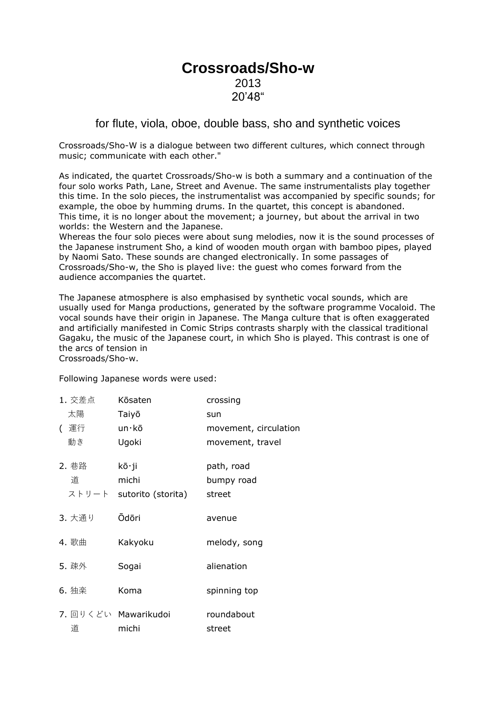## **Crossroads/Sho-w** 2013 20'48"

## for flute, viola, oboe, double bass, sho and synthetic voices

Crossroads/Sho-W is a dialogue between two different cultures, which connect through music; communicate with each other."

As indicated, the quartet Crossroads/Sho-w is both a summary and a continuation of the four solo works Path, Lane, Street and Avenue. The same instrumentalists play together this time. In the solo pieces, the instrumentalist was accompanied by specific sounds; for example, the oboe by humming drums. In the quartet, this concept is abandoned. This time, it is no longer about the movement; a journey, but about the arrival in two worlds: the Western and the Japanese.

Whereas the four solo pieces were about sung melodies, now it is the sound processes of the Japanese instrument Sho, a kind of wooden mouth organ with bamboo pipes, played by Naomi Sato. These sounds are changed electronically. In some passages of Crossroads/Sho-w, the Sho is played live: the guest who comes forward from the audience accompanies the quartet.

The Japanese atmosphere is also emphasised by synthetic vocal sounds, which are usually used for Manga productions, generated by the software programme Vocaloid. The vocal sounds have their origin in Japanese. The Manga culture that is often exaggerated and artificially manifested in Comic Strips contrasts sharply with the classical traditional Gagaku, the music of the Japanese court, in which Sho is played. This contrast is one of the arcs of tension in Crossroads/Sho-w.

Following Japanese words were used:

| 1. 交差点 | Kōsaten                  | crossing              |
|--------|--------------------------|-----------------------|
| 太陽     | Taiyō                    | sun                   |
| ( 運行   | un $\cdot$ kō            | movement, circulation |
| 動き     | Ugoki                    | movement, travel      |
| 2. 巷路  | kō∙ji                    | path, road            |
| 道      | michi                    | bumpy road            |
|        | ストリート sutorito (storita) | street                |
| 3. 大通り | Ōdōri                    | avenue                |
| 4. 歌曲  | Kakyoku                  | melody, song          |
| 5. 疎外  | Sogai                    | alienation            |
| 6. 独楽  | Koma                     | spinning top          |
|        | 7. 回りくどい Mawarikudoi     | roundabout            |
| 道      | michi                    | street                |